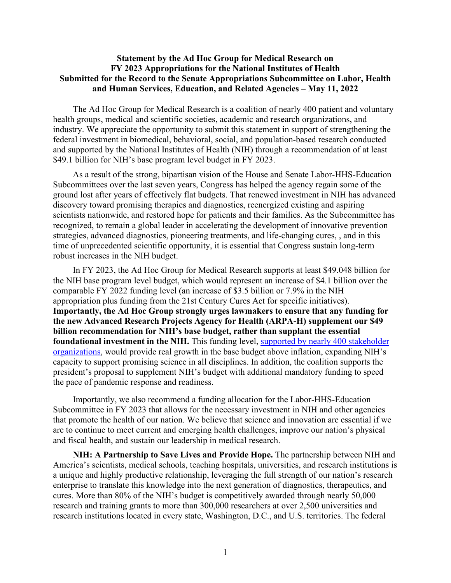## **Statement by the Ad Hoc Group for Medical Research on FY 2023 Appropriations for the National Institutes of Health Submitted for the Record to the Senate Appropriations Subcommittee on Labor, Health and Human Services, Education, and Related Agencies – May 11, 2022**

The Ad Hoc Group for Medical Research is a coalition of nearly 400 patient and voluntary health groups, medical and scientific societies, academic and research organizations, and industry. We appreciate the opportunity to submit this statement in support of strengthening the federal investment in biomedical, behavioral, social, and population-based research conducted and supported by the National Institutes of Health (NIH) through a recommendation of at least \$49.1 billion for NIH's base program level budget in FY 2023.

As a result of the strong, bipartisan vision of the House and Senate Labor-HHS-Education Subcommittees over the last seven years, Congress has helped the agency regain some of the ground lost after years of effectively flat budgets. That renewed investment in NIH has advanced discovery toward promising therapies and diagnostics, reenergized existing and aspiring scientists nationwide, and restored hope for patients and their families. As the Subcommittee has recognized, to remain a global leader in accelerating the development of innovative prevention strategies, advanced diagnostics, pioneering treatments, and life-changing cures, , and in this time of unprecedented scientific opportunity, it is essential that Congress sustain long-term robust increases in the NIH budget.

In FY 2023, the Ad Hoc Group for Medical Research supports at least \$49.048 billion for the NIH base program level budget, which would represent an increase of \$4.1 billion over the comparable FY 2022 funding level (an increase of \$3.5 billion or 7.9% in the NIH appropriation plus funding from the 21st Century Cures Act for specific initiatives). **Importantly, the Ad Hoc Group strongly urges lawmakers to ensure that any funding for the new Advanced Research Projects Agency for Health (ARPA-H) supplement our \$49 billion recommendation for NIH's base budget, rather than supplant the essential foundational investment in the NIH.** This funding level, [supported by nearly 400 stakeholder](https://www.aamc.org/research/adhocgp/FY23Recommendation.pdf)  [organizations,](https://www.aamc.org/research/adhocgp/FY23Recommendation.pdf) would provide real growth in the base budget above inflation, expanding NIH's capacity to support promising science in all disciplines. In addition, the coalition supports the president's proposal to supplement NIH's budget with additional mandatory funding to speed the pace of pandemic response and readiness.

Importantly, we also recommend a funding allocation for the Labor-HHS-Education Subcommittee in FY 2023 that allows for the necessary investment in NIH and other agencies that promote the health of our nation. We believe that science and innovation are essential if we are to continue to meet current and emerging health challenges, improve our nation's physical and fiscal health, and sustain our leadership in medical research.

**NIH: A Partnership to Save Lives and Provide Hope.** The partnership between NIH and America's scientists, medical schools, teaching hospitals, universities, and research institutions is a unique and highly productive relationship, leveraging the full strength of our nation's research enterprise to translate this knowledge into the next generation of diagnostics, therapeutics, and cures. More than 80% of the NIH's budget is competitively awarded through nearly 50,000 research and training grants to more than 300,000 researchers at over 2,500 universities and research institutions located in every state, Washington, D.C., and U.S. territories. The federal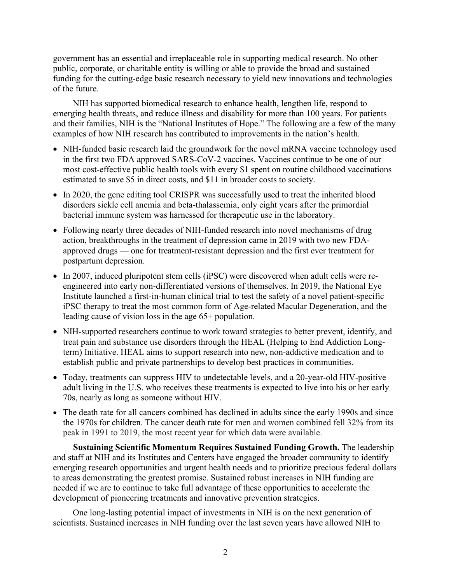government has an essential and irreplaceable role in supporting medical research. No other public, corporate, or charitable entity is willing or able to provide the broad and sustained funding for the cutting-edge basic research necessary to yield new innovations and technologies of the future.

NIH has supported biomedical research to enhance health, lengthen life, respond to emerging health threats, and reduce illness and disability for more than 100 years. For patients and their families, NIH is the "National Institutes of Hope." The following are a few of the many examples of how NIH research has contributed to improvements in the nation's health.

- NIH-funded basic research laid the groundwork for the novel mRNA vaccine technology used in the first two FDA approved SARS-CoV-2 vaccines. Vaccines continue to be one of our most cost-effective public health tools with every \$1 spent on routine childhood vaccinations estimated to save \$5 in direct costs, and \$11 in broader costs to society.
- In 2020, the gene editing tool CRISPR was successfully used to treat the inherited blood disorders sickle cell anemia and beta-thalassemia, only eight years after the primordial bacterial immune system was harnessed for therapeutic use in the laboratory.
- Following nearly three decades of NIH-funded research into novel mechanisms of drug action, breakthroughs in the treatment of depression came in 2019 with two new FDAapproved drugs — one for treatment-resistant depression and the first ever treatment for postpartum depression.
- In 2007, induced pluripotent stem cells (iPSC) were discovered when adult cells were reengineered into early non-differentiated versions of themselves. In 2019, the National Eye Institute launched a first-in-human clinical trial to test the safety of a novel patient-specific iPSC therapy to treat the most common form of Age-related Macular Degeneration, and the leading cause of vision loss in the age 65+ population.
- NIH-supported researchers continue to work toward strategies to better prevent, identify, and treat pain and substance use disorders through the HEAL (Helping to End Addiction Longterm) Initiative. HEAL aims to support research into new, non-addictive medication and to establish public and private partnerships to develop best practices in communities.
- Today, treatments can suppress HIV to undetectable levels, and a 20-year-old HIV-positive adult living in the U.S. who receives these treatments is expected to live into his or her early 70s, nearly as long as someone without HIV.
- The death rate for all cancers combined has declined in adults since the early 1990s and since the 1970s for children. The cancer death rate for men and women combined fell 32% from its peak in 1991 to 2019, the most recent year for which data were available.

**Sustaining Scientific Momentum Requires Sustained Funding Growth.** The leadership and staff at NIH and its Institutes and Centers have engaged the broader community to identify emerging research opportunities and urgent health needs and to prioritize precious federal dollars to areas demonstrating the greatest promise. Sustained robust increases in NIH funding are needed if we are to continue to take full advantage of these opportunities to accelerate the development of pioneering treatments and innovative prevention strategies.

One long-lasting potential impact of investments in NIH is on the next generation of scientists. Sustained increases in NIH funding over the last seven years have allowed NIH to